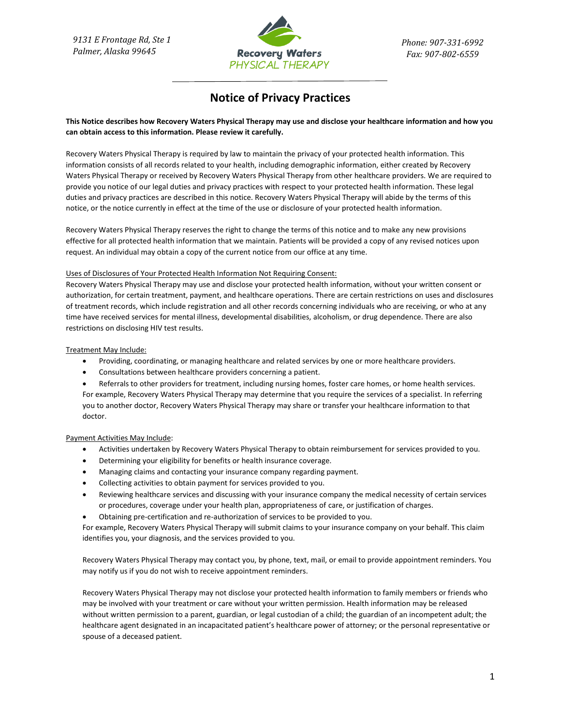

# **Notice of Privacy Practices**

## **This Notice describes how Recovery Waters Physical Therapy may use and disclose your healthcare information and how you can obtain access to this information. Please review it carefully.**

Recovery Waters Physical Therapy is required by law to maintain the privacy of your protected health information. This information consists of all records related to your health, including demographic information, either created by Recovery Waters Physical Therapy or received by Recovery Waters Physical Therapy from other healthcare providers. We are required to provide you notice of our legal duties and privacy practices with respect to your protected health information. These legal duties and privacy practices are described in this notice. Recovery Waters Physical Therapy will abide by the terms of this notice, or the notice currently in effect at the time of the use or disclosure of your protected health information.

Recovery Waters Physical Therapy reserves the right to change the terms of this notice and to make any new provisions effective for all protected health information that we maintain. Patients will be provided a copy of any revised notices upon request. An individual may obtain a copy of the current notice from our office at any time.

## Uses of Disclosures of Your Protected Health Information Not Requiring Consent:

Recovery Waters Physical Therapy may use and disclose your protected health information, without your written consent or authorization, for certain treatment, payment, and healthcare operations. There are certain restrictions on uses and disclosures of treatment records, which include registration and all other records concerning individuals who are receiving, or who at any time have received services for mental illness, developmental disabilities, alcoholism, or drug dependence. There are also restrictions on disclosing HIV test results.

#### Treatment May Include:

- Providing, coordinating, or managing healthcare and related services by one or more healthcare providers.
- Consultations between healthcare providers concerning a patient.

• Referrals to other providers for treatment, including nursing homes, foster care homes, or home health services. For example, Recovery Waters Physical Therapy may determine that you require the services of a specialist. In referring you to another doctor, Recovery Waters Physical Therapy may share or transfer your healthcare information to that doctor.

## Payment Activities May Include:

- Activities undertaken by Recovery Waters Physical Therapy to obtain reimbursement for services provided to you.
- Determining your eligibility for benefits or health insurance coverage.
- Managing claims and contacting your insurance company regarding payment.
- Collecting activities to obtain payment for services provided to you.
- Reviewing healthcare services and discussing with your insurance company the medical necessity of certain services or procedures, coverage under your health plan, appropriateness of care, or justification of charges.
- Obtaining pre-certification and re-authorization of services to be provided to you.

For example, Recovery Waters Physical Therapy will submit claims to your insurance company on your behalf. This claim identifies you, your diagnosis, and the services provided to you.

Recovery Waters Physical Therapy may contact you, by phone, text, mail, or email to provide appointment reminders. You may notify us if you do not wish to receive appointment reminders.

Recovery Waters Physical Therapy may not disclose your protected health information to family members or friends who may be involved with your treatment or care without your written permission. Health information may be released without written permission to a parent, guardian, or legal custodian of a child; the guardian of an incompetent adult; the healthcare agent designated in an incapacitated patient's healthcare power of attorney; or the personal representative or spouse of a deceased patient.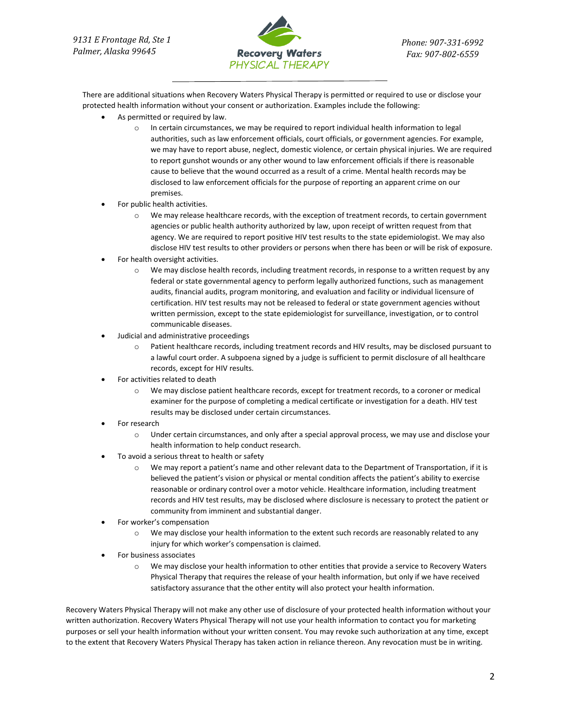

There are additional situations when Recovery Waters Physical Therapy is permitted or required to use or disclose your protected health information without your consent or authorization. Examples include the following:

- As permitted or required by law.
	- $\circ$  In certain circumstances, we may be required to report individual health information to legal authorities, such as law enforcement officials, court officials, or government agencies. For example, we may have to report abuse, neglect, domestic violence, or certain physical injuries. We are required to report gunshot wounds or any other wound to law enforcement officials if there is reasonable cause to believe that the wound occurred as a result of a crime. Mental health records may be disclosed to law enforcement officials for the purpose of reporting an apparent crime on our premises.
- For public health activities.
	- o We may release healthcare records, with the exception of treatment records, to certain government agencies or public health authority authorized by law, upon receipt of written request from that agency. We are required to report positive HIV test results to the state epidemiologist. We may also disclose HIV test results to other providers or persons when there has been or will be risk of exposure.
- For health oversight activities.
	- o We may disclose health records, including treatment records, in response to a written request by any federal or state governmental agency to perform legally authorized functions, such as management audits, financial audits, program monitoring, and evaluation and facility or individual licensure of certification. HIV test results may not be released to federal or state government agencies without written permission, except to the state epidemiologist for surveillance, investigation, or to control communicable diseases.
- Judicial and administrative proceedings
	- o Patient healthcare records, including treatment records and HIV results, may be disclosed pursuant to a lawful court order. A subpoena signed by a judge is sufficient to permit disclosure of all healthcare records, except for HIV results.
- For activities related to death
	- o We may disclose patient healthcare records, except for treatment records, to a coroner or medical examiner for the purpose of completing a medical certificate or investigation for a death. HIV test results may be disclosed under certain circumstances.
- For research
	- o Under certain circumstances, and only after a special approval process, we may use and disclose your health information to help conduct research.
- To avoid a serious threat to health or safety
	- o We may report a patient's name and other relevant data to the Department of Transportation, if it is believed the patient's vision or physical or mental condition affects the patient's ability to exercise reasonable or ordinary control over a motor vehicle. Healthcare information, including treatment records and HIV test results, may be disclosed where disclosure is necessary to protect the patient or community from imminent and substantial danger.
- For worker's compensation
	- o We may disclose your health information to the extent such records are reasonably related to any injury for which worker's compensation is claimed.
- For business associates
	- o We may disclose your health information to other entities that provide a service to Recovery Waters Physical Therapy that requires the release of your health information, but only if we have received satisfactory assurance that the other entity will also protect your health information.

Recovery Waters Physical Therapy will not make any other use of disclosure of your protected health information without your written authorization. Recovery Waters Physical Therapy will not use your health information to contact you for marketing purposes or sell your health information without your written consent. You may revoke such authorization at any time, except to the extent that Recovery Waters Physical Therapy has taken action in reliance thereon. Any revocation must be in writing.